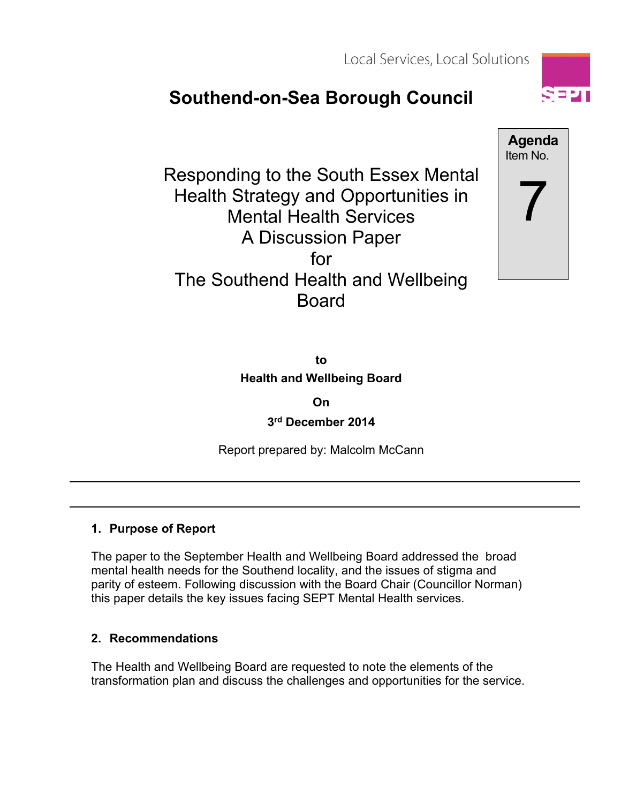Local Services, Local Solutions

# **Southend-on-Sea Borough Council**

Responding to the South Essex Mental Health Strategy and Opportunities in Mental Health Services A Discussion Paper for The Southend Health and Wellbeing Board



**to Health and Wellbeing Board**

**On**

**3 rd December 2014**

Report prepared by: Malcolm McCann

#### **1. Purpose of Report**

The paper to the September Health and Wellbeing Board addressed the broad mental health needs for the Southend locality, and the issues of stigma and parity of esteem. Following discussion with the Board Chair (Councillor Norman) this paper details the key issues facing SEPT Mental Health services.

# **2. Recommendations**

The Health and Wellbeing Board are requested to note the elements of the transformation plan and discuss the challenges and opportunities for the service.

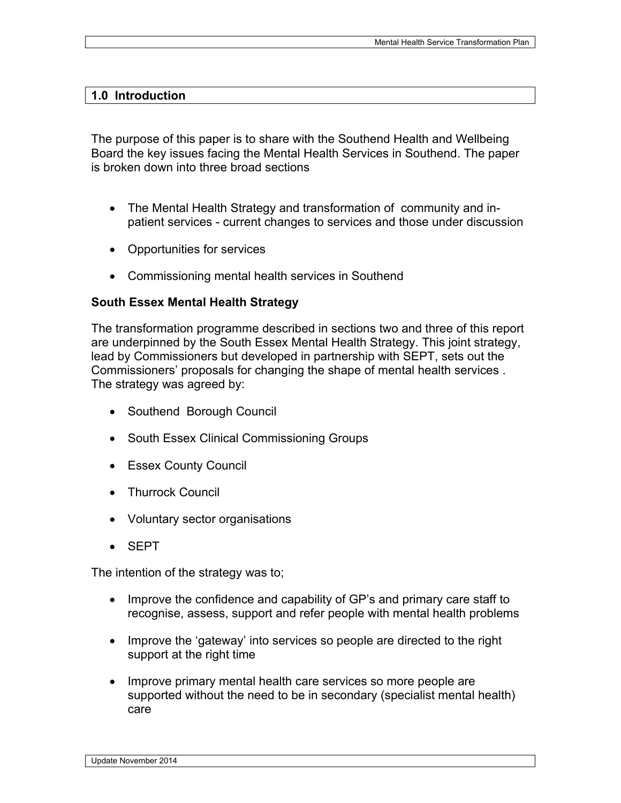#### **1.0 Introduction**

The purpose of this paper is to share with the Southend Health and Wellbeing Board the key issues facing the Mental Health Services in Southend. The paper is broken down into three broad sections

- The Mental Health Strategy and transformation of community and inpatient services - current changes to services and those under discussion
- Opportunities for services
- Commissioning mental health services in Southend

#### **South Essex Mental Health Strategy**

The transformation programme described in sections two and three of this report are underpinned by the South Essex Mental Health Strategy. This joint strategy, lead by Commissioners but developed in partnership with SEPT, sets out the Commissioners' proposals for changing the shape of mental health services . The strategy was agreed by:

- Southend Borough Council
- South Essex Clinical Commissioning Groups
- Essex County Council
- Thurrock Council
- Voluntary sector organisations
- SEPT

The intention of the strategy was to;

- Improve the confidence and capability of GP's and primary care staff to recognise, assess, support and refer people with mental health problems
- Improve the 'gateway' into services so people are directed to the right support at the right time
- Improve primary mental health care services so more people are supported without the need to be in secondary (specialist mental health) care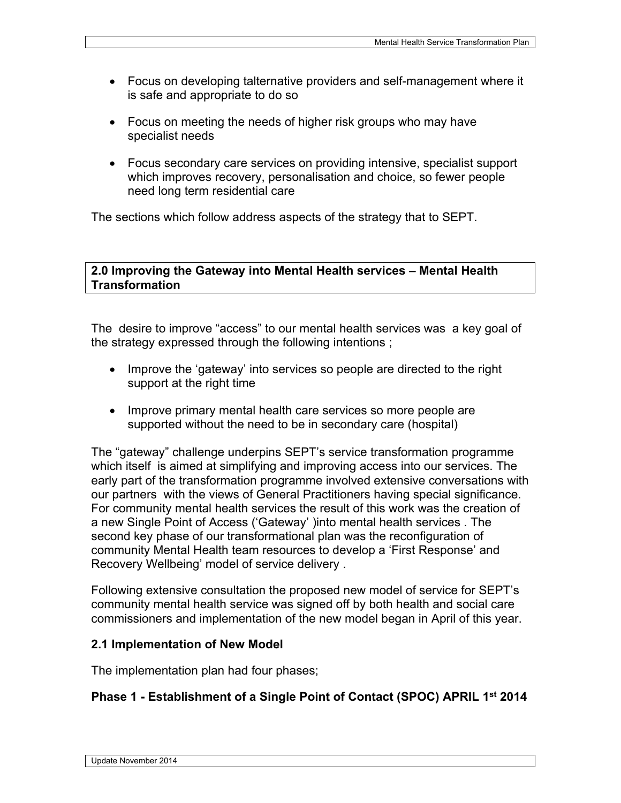- Focus on developing talternative providers and self-management where it is safe and appropriate to do so
- Focus on meeting the needs of higher risk groups who may have specialist needs
- Focus secondary care services on providing intensive, specialist support which improves recovery, personalisation and choice, so fewer people need long term residential care

The sections which follow address aspects of the strategy that to SEPT.

#### **2.0 Improving the Gateway into Mental Health services – Mental Health Transformation**

The desire to improve "access" to our mental health services was a key goal of the strategy expressed through the following intentions ;

- Improve the 'gateway' into services so people are directed to the right support at the right time
- Improve primary mental health care services so more people are supported without the need to be in secondary care (hospital)

The "gateway" challenge underpins SEPT's service transformation programme which itself is aimed at simplifying and improving access into our services. The early part of the transformation programme involved extensive conversations with our partners with the views of General Practitioners having special significance. For community mental health services the result of this work was the creation of a new Single Point of Access ('Gateway' )into mental health services . The second key phase of our transformational plan was the reconfiguration of community Mental Health team resources to develop a 'First Response' and Recovery Wellbeing' model of service delivery .

Following extensive consultation the proposed new model of service for SEPT's community mental health service was signed off by both health and social care commissioners and implementation of the new model began in April of this year.

#### **2.1 Implementation of New Model**

The implementation plan had four phases;

#### **Phase 1 - Establishment of a Single Point of Contact (SPOC) APRIL 1 st 2014**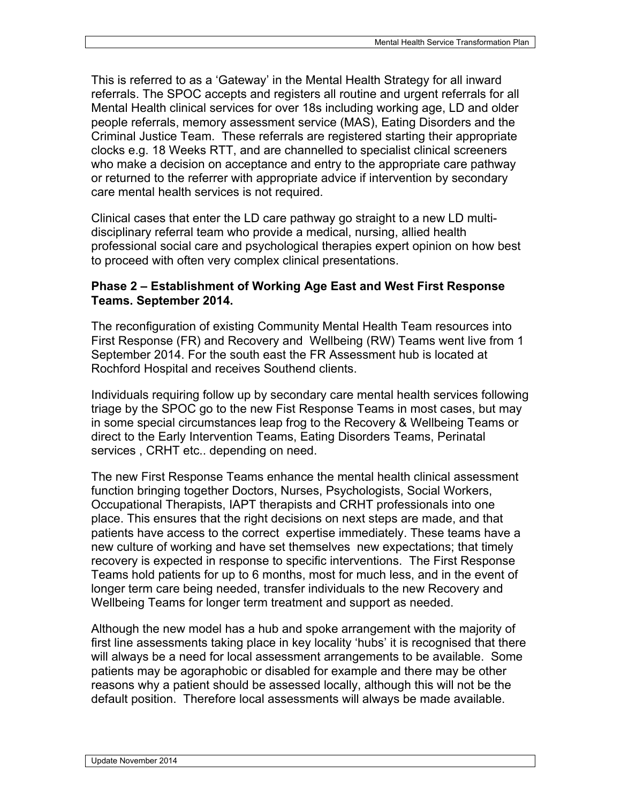This is referred to as a 'Gateway' in the Mental Health Strategy for all inward referrals. The SPOC accepts and registers all routine and urgent referrals for all Mental Health clinical services for over 18s including working age, LD and older people referrals, memory assessment service (MAS), Eating Disorders and the Criminal Justice Team. These referrals are registered starting their appropriate clocks e.g. 18 Weeks RTT, and are channelled to specialist clinical screeners who make a decision on acceptance and entry to the appropriate care pathway or returned to the referrer with appropriate advice if intervention by secondary care mental health services is not required.

Clinical cases that enter the LD care pathway go straight to a new LD multidisciplinary referral team who provide a medical, nursing, allied health professional social care and psychological therapies expert opinion on how best to proceed with often very complex clinical presentations.

#### **Phase 2 – Establishment of Working Age East and West First Response Teams. September 2014.**

The reconfiguration of existing Community Mental Health Team resources into First Response (FR) and Recovery and Wellbeing (RW) Teams went live from 1 September 2014. For the south east the FR Assessment hub is located at Rochford Hospital and receives Southend clients.

Individuals requiring follow up by secondary care mental health services following triage by the SPOC go to the new Fist Response Teams in most cases, but may in some special circumstances leap frog to the Recovery & Wellbeing Teams or direct to the Early Intervention Teams, Eating Disorders Teams, Perinatal services , CRHT etc.. depending on need.

The new First Response Teams enhance the mental health clinical assessment function bringing together Doctors, Nurses, Psychologists, Social Workers, Occupational Therapists, IAPT therapists and CRHT professionals into one place. This ensures that the right decisions on next steps are made, and that patients have access to the correct expertise immediately. These teams have a new culture of working and have set themselves new expectations; that timely recovery is expected in response to specific interventions. The First Response Teams hold patients for up to 6 months, most for much less, and in the event of longer term care being needed, transfer individuals to the new Recovery and Wellbeing Teams for longer term treatment and support as needed.

Although the new model has a hub and spoke arrangement with the majority of first line assessments taking place in key locality 'hubs' it is recognised that there will always be a need for local assessment arrangements to be available. Some patients may be agoraphobic or disabled for example and there may be other reasons why a patient should be assessed locally, although this will not be the default position. Therefore local assessments will always be made available.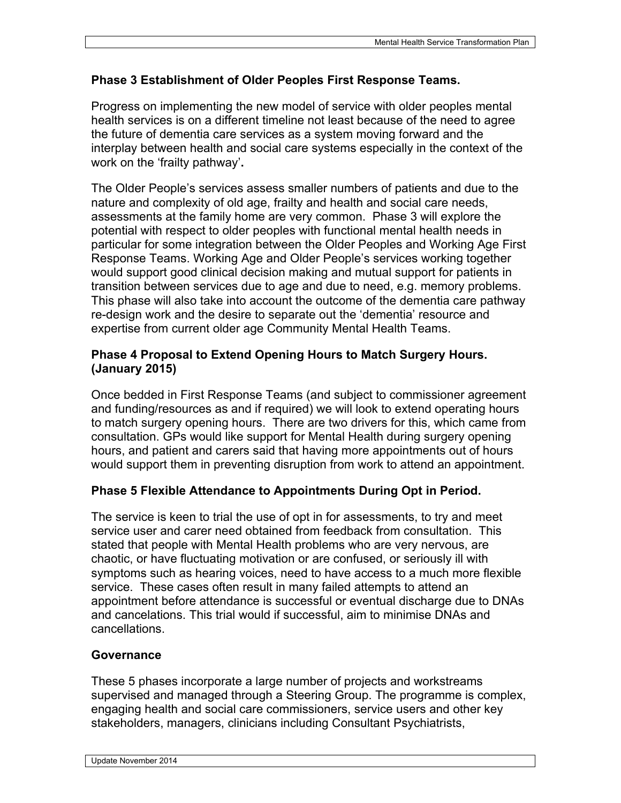# **Phase 3 Establishment of Older Peoples First Response Teams.**

Progress on implementing the new model of service with older peoples mental health services is on a different timeline not least because of the need to agree the future of dementia care services as a system moving forward and the interplay between health and social care systems especially in the context of the work on the 'frailty pathway'**.**

The Older People's services assess smaller numbers of patients and due to the nature and complexity of old age, frailty and health and social care needs, assessments at the family home are very common. Phase 3 will explore the potential with respect to older peoples with functional mental health needs in particular for some integration between the Older Peoples and Working Age First Response Teams. Working Age and Older People's services working together would support good clinical decision making and mutual support for patients in transition between services due to age and due to need, e.g. memory problems. This phase will also take into account the outcome of the dementia care pathway re-design work and the desire to separate out the 'dementia' resource and expertise from current older age Community Mental Health Teams.

## **Phase 4 Proposal to Extend Opening Hours to Match Surgery Hours. (January 2015)**

Once bedded in First Response Teams (and subject to commissioner agreement and funding/resources as and if required) we will look to extend operating hours to match surgery opening hours. There are two drivers for this, which came from consultation. GPs would like support for Mental Health during surgery opening hours, and patient and carers said that having more appointments out of hours would support them in preventing disruption from work to attend an appointment.

# **Phase 5 Flexible Attendance to Appointments During Opt in Period.**

The service is keen to trial the use of opt in for assessments, to try and meet service user and carer need obtained from feedback from consultation. This stated that people with Mental Health problems who are very nervous, are chaotic, or have fluctuating motivation or are confused, or seriously ill with symptoms such as hearing voices, need to have access to a much more flexible service. These cases often result in many failed attempts to attend an appointment before attendance is successful or eventual discharge due to DNAs and cancelations. This trial would if successful, aim to minimise DNAs and cancellations.

# **Governance**

These 5 phases incorporate a large number of projects and workstreams supervised and managed through a Steering Group. The programme is complex, engaging health and social care commissioners, service users and other key stakeholders, managers, clinicians including Consultant Psychiatrists,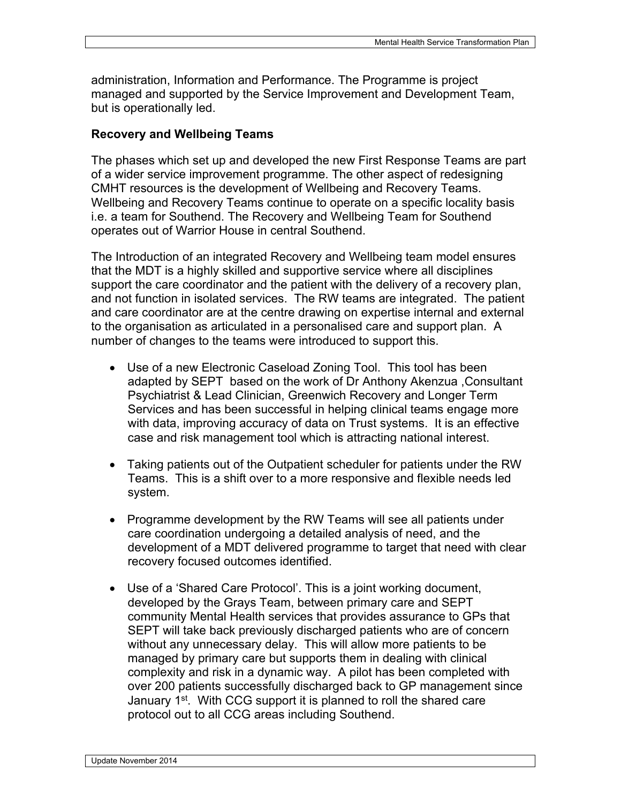administration, Information and Performance. The Programme is project managed and supported by the Service Improvement and Development Team, but is operationally led.

#### **Recovery and Wellbeing Teams**

The phases which set up and developed the new First Response Teams are part of a wider service improvement programme. The other aspect of redesigning CMHT resources is the development of Wellbeing and Recovery Teams. Wellbeing and Recovery Teams continue to operate on a specific locality basis i.e. a team for Southend. The Recovery and Wellbeing Team for Southend operates out of Warrior House in central Southend.

The Introduction of an integrated Recovery and Wellbeing team model ensures that the MDT is a highly skilled and supportive service where all disciplines support the care coordinator and the patient with the delivery of a recovery plan, and not function in isolated services. The RW teams are integrated. The patient and care coordinator are at the centre drawing on expertise internal and external to the organisation as articulated in a personalised care and support plan. A number of changes to the teams were introduced to support this.

- Use of a new Electronic Caseload Zoning Tool. This tool has been adapted by SEPT based on the work of Dr Anthony Akenzua ,Consultant Psychiatrist & Lead Clinician, Greenwich Recovery and Longer Term Services and has been successful in helping clinical teams engage more with data, improving accuracy of data on Trust systems. It is an effective case and risk management tool which is attracting national interest.
- Taking patients out of the Outpatient scheduler for patients under the RW Teams. This is a shift over to a more responsive and flexible needs led system.
- Programme development by the RW Teams will see all patients under care coordination undergoing a detailed analysis of need, and the development of a MDT delivered programme to target that need with clear recovery focused outcomes identified.
- Use of a 'Shared Care Protocol'. This is a joint working document, developed by the Grays Team, between primary care and SEPT community Mental Health services that provides assurance to GPs that SEPT will take back previously discharged patients who are of concern without any unnecessary delay. This will allow more patients to be managed by primary care but supports them in dealing with clinical complexity and risk in a dynamic way. A pilot has been completed with over 200 patients successfully discharged back to GP management since January 1<sup>st</sup>. With CCG support it is planned to roll the shared care protocol out to all CCG areas including Southend.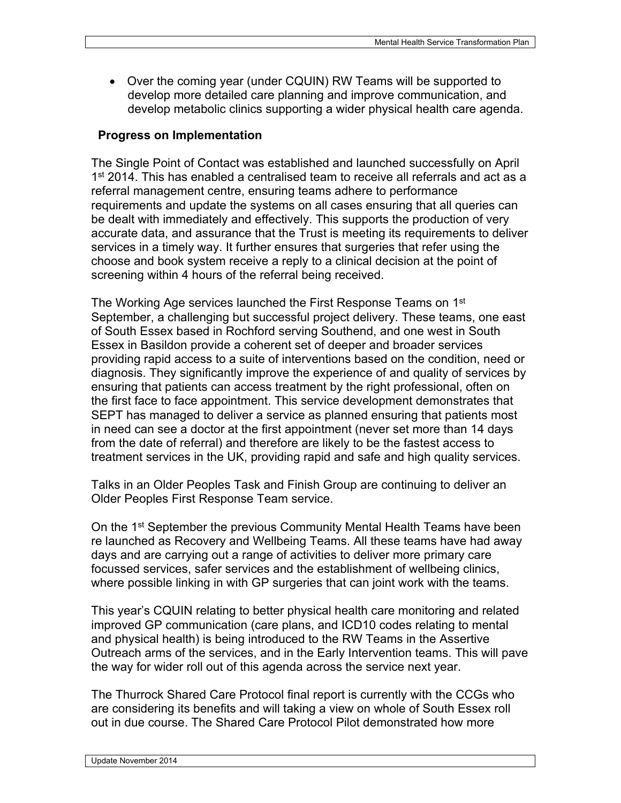Over the coming year (under CQUIN) RW Teams will be supported to develop more detailed care planning and improve communication, and develop metabolic clinics supporting a wider physical health care agenda.

#### **Progress on Implementation**

The Single Point of Contact was established and launched successfully on April 1<sup>st</sup> 2014. This has enabled a centralised team to receive all referrals and act as a referral management centre, ensuring teams adhere to performance requirements and update the systems on all cases ensuring that all queries can be dealt with immediately and effectively. This supports the production of very accurate data, and assurance that the Trust is meeting its requirements to deliver services in a timely way. It further ensures that surgeries that refer using the choose and book system receive a reply to a clinical decision at the point of screening within 4 hours of the referral being received.

The Working Age services launched the First Response Teams on 1<sup>st</sup> September, a challenging but successful project delivery. These teams, one east of South Essex based in Rochford serving Southend, and one west in South Essex in Basildon provide a coherent set of deeper and broader services providing rapid access to a suite of interventions based on the condition, need or diagnosis. They significantly improve the experience of and quality of services by ensuring that patients can access treatment by the right professional, often on the first face to face appointment. This service development demonstrates that SEPT has managed to deliver a service as planned ensuring that patients most in need can see a doctor at the first appointment (never set more than 14 days from the date of referral) and therefore are likely to be the fastest access to treatment services in the UK, providing rapid and safe and high quality services.

Talks in an Older Peoples Task and Finish Group are continuing to deliver an Older Peoples First Response Team service.

On the 1<sup>st</sup> September the previous Community Mental Health Teams have been re launched as Recovery and Wellbeing Teams. All these teams have had away days and are carrying out a range of activities to deliver more primary care focussed services, safer services and the establishment of wellbeing clinics, where possible linking in with GP surgeries that can joint work with the teams.

This year's CQUIN relating to better physical health care monitoring and related improved GP communication (care plans, and ICD10 codes relating to mental and physical health) is being introduced to the RW Teams in the Assertive Outreach arms of the services, and in the Early Intervention teams. This will pave the way for wider roll out of this agenda across the service next year.

The Thurrock Shared Care Protocol final report is currently with the CCGs who are considering its benefits and will taking a view on whole of South Essex roll out in due course. The Shared Care Protocol Pilot demonstrated how more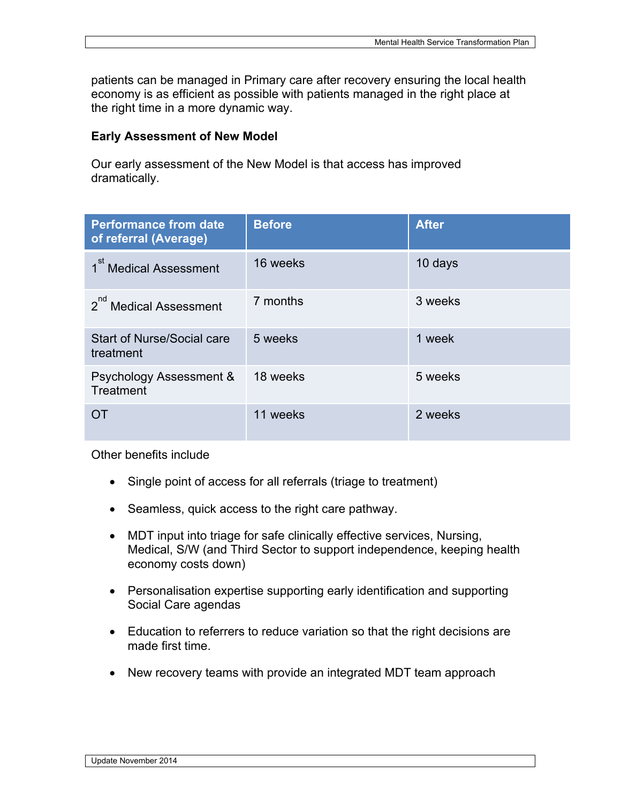patients can be managed in Primary care after recovery ensuring the local health economy is as efficient as possible with patients managed in the right place at the right time in a more dynamic way.

#### **Early Assessment of New Model**

Our early assessment of the New Model is that access has improved dramatically.

| <b>Performance from date</b><br>of referral (Average) | <b>Before</b> | <b>After</b> |
|-------------------------------------------------------|---------------|--------------|
| 1 <sup>st</sup> Medical Assessment                    | 16 weeks      | 10 days      |
| 2 <sup>nd</sup> Medical Assessment                    | 7 months      | 3 weeks      |
| Start of Nurse/Social care<br>treatment               | 5 weeks       | 1 week       |
| Psychology Assessment &<br>Treatment                  | 18 weeks      | 5 weeks      |
| OΤ                                                    | 11 weeks      | 2 weeks      |

Other benefits include

- Single point of access for all referrals (triage to treatment)
- Seamless, quick access to the right care pathway.
- MDT input into triage for safe clinically effective services, Nursing, Medical, S/W (and Third Sector to support independence, keeping health economy costs down)
- Personalisation expertise supporting early identification and supporting Social Care agendas
- Education to referrers to reduce variation so that the right decisions are made first time.
- New recovery teams with provide an integrated MDT team approach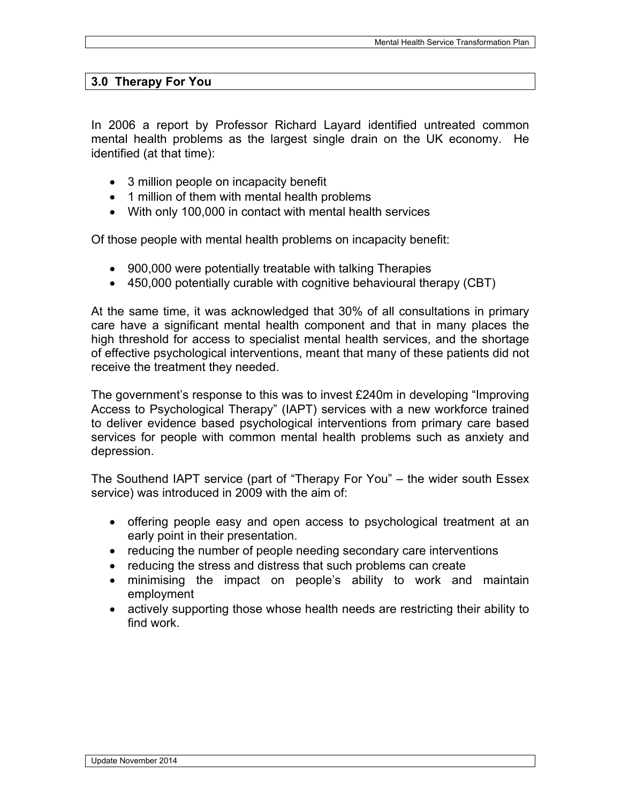#### **3.0 Therapy For You**

In 2006 a report by Professor Richard Layard identified untreated common mental health problems as the largest single drain on the UK economy. He identified (at that time):

- 3 million people on incapacity benefit
- 1 million of them with mental health problems
- With only 100,000 in contact with mental health services

Of those people with mental health problems on incapacity benefit:

- 900,000 were potentially treatable with talking Therapies
- 450,000 potentially curable with cognitive behavioural therapy (CBT)

At the same time, it was acknowledged that 30% of all consultations in primary care have a significant mental health component and that in many places the high threshold for access to specialist mental health services, and the shortage of effective psychological interventions, meant that many of these patients did not receive the treatment they needed.

The government's response to this was to invest £240m in developing "Improving Access to Psychological Therapy" (IAPT) services with a new workforce trained to deliver evidence based psychological interventions from primary care based services for people with common mental health problems such as anxiety and depression.

The Southend IAPT service (part of "Therapy For You" – the wider south Essex service) was introduced in 2009 with the aim of:

- offering people easy and open access to psychological treatment at an early point in their presentation.
- reducing the number of people needing secondary care interventions
- reducing the stress and distress that such problems can create
- minimising the impact on people's ability to work and maintain employment
- actively supporting those whose health needs are restricting their ability to find work.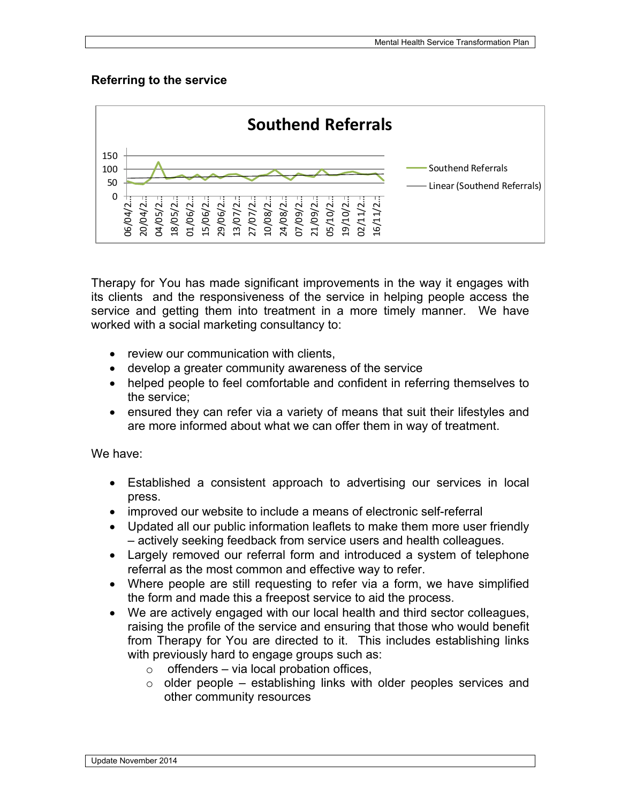# **Referring to the service**



Therapy for You has made significant improvements in the way it engages with its clients and the responsiveness of the service in helping people access the service and getting them into treatment in a more timely manner. We have worked with a social marketing consultancy to:

- review our communication with clients.
- develop a greater community awareness of the service
- helped people to feel comfortable and confident in referring themselves to the service;
- ensured they can refer via a variety of means that suit their lifestyles and are more informed about what we can offer them in way of treatment.

We have:

- Established a consistent approach to advertising our services in local press.
- improved our website to include a means of electronic self-referral
- Updated all our public information leaflets to make them more user friendly – actively seeking feedback from service users and health colleagues.
- Largely removed our referral form and introduced a system of telephone referral as the most common and effective way to refer.
- Where people are still requesting to refer via a form, we have simplified the form and made this a freepost service to aid the process.
- We are actively engaged with our local health and third sector colleagues, raising the profile of the service and ensuring that those who would benefit from Therapy for You are directed to it. This includes establishing links with previously hard to engage groups such as:
	- $\circ$  offenders via local probation offices,
	- $\circ$  older people establishing links with older peoples services and other community resources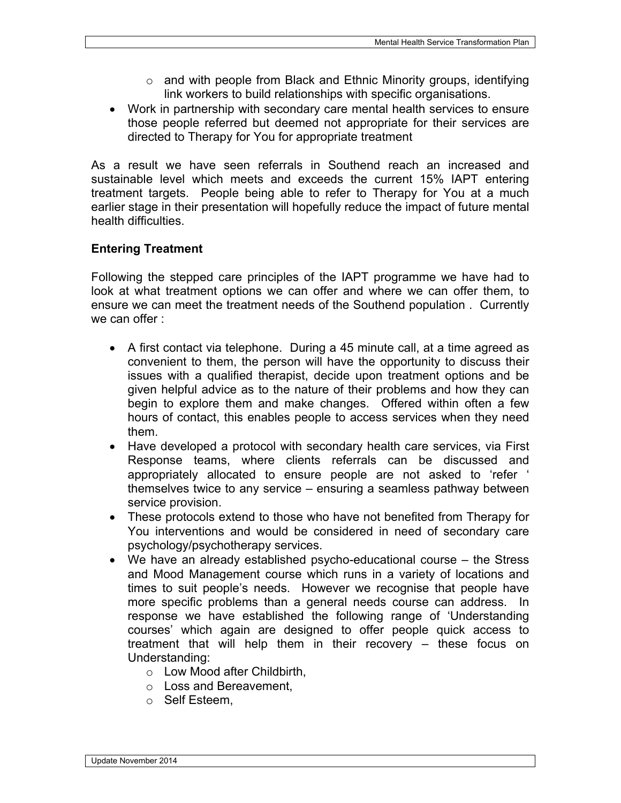- $\circ$  and with people from Black and Ethnic Minority groups, identifying link workers to build relationships with specific organisations.
- Work in partnership with secondary care mental health services to ensure those people referred but deemed not appropriate for their services are directed to Therapy for You for appropriate treatment

As a result we have seen referrals in Southend reach an increased and sustainable level which meets and exceeds the current 15% IAPT entering treatment targets. People being able to refer to Therapy for You at a much earlier stage in their presentation will hopefully reduce the impact of future mental health difficulties.

# **Entering Treatment**

Following the stepped care principles of the IAPT programme we have had to look at what treatment options we can offer and where we can offer them, to ensure we can meet the treatment needs of the Southend population . Currently we can offer :

- A first contact via telephone. During a 45 minute call, at a time agreed as convenient to them, the person will have the opportunity to discuss their issues with a qualified therapist, decide upon treatment options and be given helpful advice as to the nature of their problems and how they can begin to explore them and make changes. Offered within often a few hours of contact, this enables people to access services when they need them.
- Have developed a protocol with secondary health care services, via First Response teams, where clients referrals can be discussed and appropriately allocated to ensure people are not asked to 'refer ' themselves twice to any service – ensuring a seamless pathway between service provision.
- These protocols extend to those who have not benefited from Therapy for You interventions and would be considered in need of secondary care psychology/psychotherapy services.
- We have an already established psycho-educational course the Stress and Mood Management course which runs in a variety of locations and times to suit people's needs. However we recognise that people have more specific problems than a general needs course can address. In response we have established the following range of 'Understanding courses' which again are designed to offer people quick access to treatment that will help them in their recovery – these focus on Understanding:
	- o Low Mood after Childbirth,
	- o Loss and Bereavement,
	- o Self Esteem,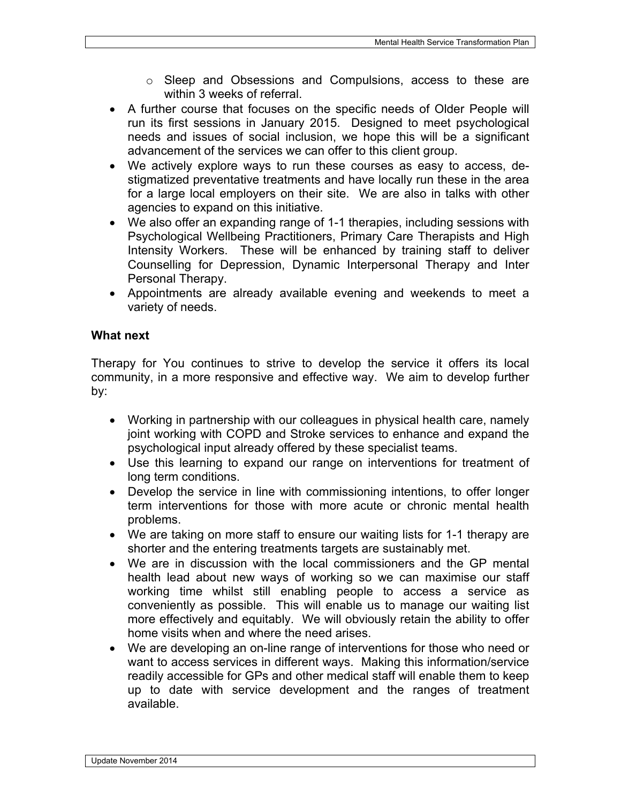- o Sleep and Obsessions and Compulsions, access to these are within 3 weeks of referral.
- A further course that focuses on the specific needs of Older People will run its first sessions in January 2015. Designed to meet psychological needs and issues of social inclusion, we hope this will be a significant advancement of the services we can offer to this client group.
- We actively explore ways to run these courses as easy to access, destigmatized preventative treatments and have locally run these in the area for a large local employers on their site. We are also in talks with other agencies to expand on this initiative.
- We also offer an expanding range of 1-1 therapies, including sessions with Psychological Wellbeing Practitioners, Primary Care Therapists and High Intensity Workers. These will be enhanced by training staff to deliver Counselling for Depression, Dynamic Interpersonal Therapy and Inter Personal Therapy.
- Appointments are already available evening and weekends to meet a variety of needs.

# **What next**

Therapy for You continues to strive to develop the service it offers its local community, in a more responsive and effective way. We aim to develop further by:

- Working in partnership with our colleagues in physical health care, namely joint working with COPD and Stroke services to enhance and expand the psychological input already offered by these specialist teams.
- Use this learning to expand our range on interventions for treatment of long term conditions.
- Develop the service in line with commissioning intentions, to offer longer term interventions for those with more acute or chronic mental health problems.
- We are taking on more staff to ensure our waiting lists for 1-1 therapy are shorter and the entering treatments targets are sustainably met.
- We are in discussion with the local commissioners and the GP mental health lead about new ways of working so we can maximise our staff working time whilst still enabling people to access a service as conveniently as possible. This will enable us to manage our waiting list more effectively and equitably. We will obviously retain the ability to offer home visits when and where the need arises.
- We are developing an on-line range of interventions for those who need or want to access services in different ways. Making this information/service readily accessible for GPs and other medical staff will enable them to keep up to date with service development and the ranges of treatment available.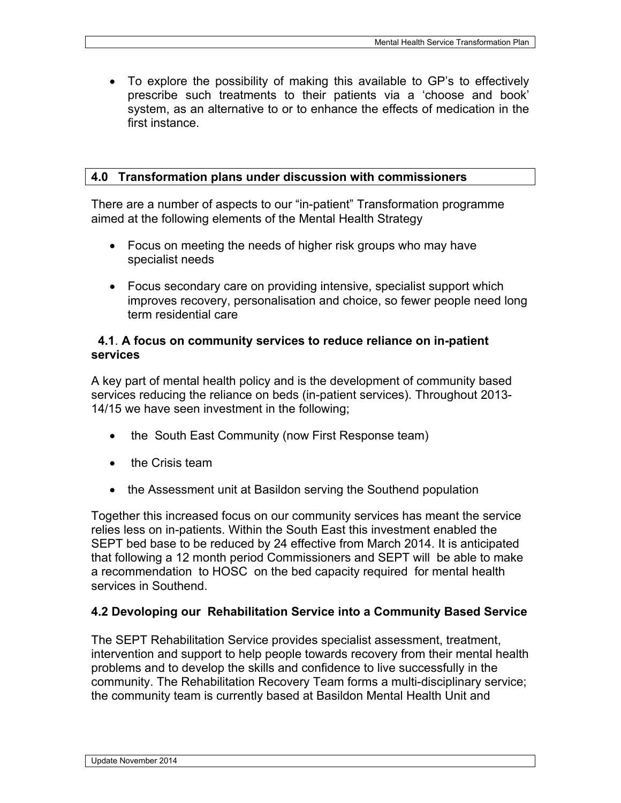To explore the possibility of making this available to GP's to effectively prescribe such treatments to their patients via a 'choose and book' system, as an alternative to or to enhance the effects of medication in the first instance.

#### **4.0 Transformation plans under discussion with commissioners**

There are a number of aspects to our "in-patient" Transformation programme aimed at the following elements of the Mental Health Strategy

- Focus on meeting the needs of higher risk groups who may have specialist needs
- Focus secondary care on providing intensive, specialist support which improves recovery, personalisation and choice, so fewer people need long term residential care

#### **4.1**. **A focus on community services to reduce reliance on in-patient services**

A key part of mental health policy and is the development of community based services reducing the reliance on beds (in-patient services). Throughout 2013- 14/15 we have seen investment in the following;

- the South East Community (now First Response team)
- the Crisis team
- the Assessment unit at Basildon serving the Southend population

Together this increased focus on our community services has meant the service relies less on in-patients. Within the South East this investment enabled the SEPT bed base to be reduced by 24 effective from March 2014. It is anticipated that following a 12 month period Commissioners and SEPT will be able to make a recommendation to HOSC on the bed capacity required for mental health services in Southend.

#### **4.2 Devoloping our Rehabilitation Service into a Community Based Service**

The SEPT Rehabilitation Service provides specialist assessment, treatment, intervention and support to help people towards recovery from their mental health problems and to develop the skills and confidence to live successfully in the community. The Rehabilitation Recovery Team forms a multi-disciplinary service; the community team is currently based at Basildon Mental Health Unit and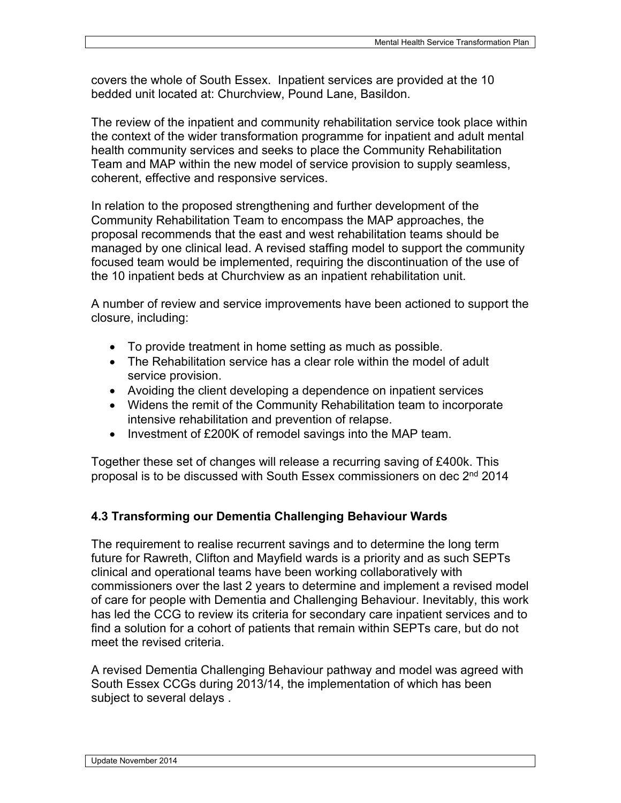covers the whole of South Essex. Inpatient services are provided at the 10 bedded unit located at: Churchview, Pound Lane, Basildon.

The review of the inpatient and community rehabilitation service took place within the context of the wider transformation programme for inpatient and adult mental health community services and seeks to place the Community Rehabilitation Team and MAP within the new model of service provision to supply seamless, coherent, effective and responsive services.

In relation to the proposed strengthening and further development of the Community Rehabilitation Team to encompass the MAP approaches, the proposal recommends that the east and west rehabilitation teams should be managed by one clinical lead. A revised staffing model to support the community focused team would be implemented, requiring the discontinuation of the use of the 10 inpatient beds at Churchview as an inpatient rehabilitation unit.

A number of review and service improvements have been actioned to support the closure, including:

- To provide treatment in home setting as much as possible.
- The Rehabilitation service has a clear role within the model of adult service provision.
- Avoiding the client developing a dependence on inpatient services
- Widens the remit of the Community Rehabilitation team to incorporate intensive rehabilitation and prevention of relapse.
- Investment of £200K of remodel savings into the MAP team.

Together these set of changes will release a recurring saving of £400k. This proposal is to be discussed with South Essex commissioners on dec 2<sup>nd</sup> 2014

# **4.3 Transforming our Dementia Challenging Behaviour Wards**

The requirement to realise recurrent savings and to determine the long term future for Rawreth, Clifton and Mayfield wards is a priority and as such SEPTs clinical and operational teams have been working collaboratively with commissioners over the last 2 years to determine and implement a revised model of care for people with Dementia and Challenging Behaviour. Inevitably, this work has led the CCG to review its criteria for secondary care inpatient services and to find a solution for a cohort of patients that remain within SEPTs care, but do not meet the revised criteria.

A revised Dementia Challenging Behaviour pathway and model was agreed with South Essex CCGs during 2013/14, the implementation of which has been subject to several delays .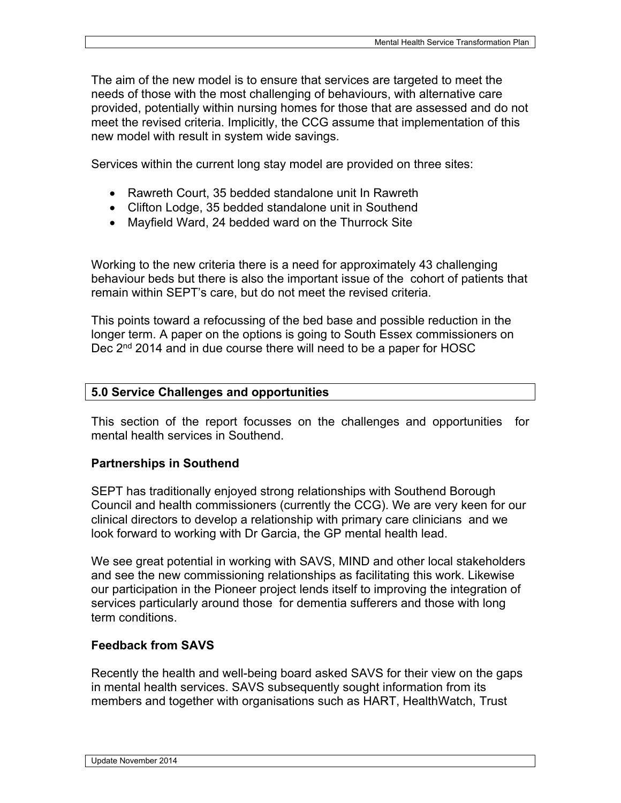The aim of the new model is to ensure that services are targeted to meet the needs of those with the most challenging of behaviours, with alternative care provided, potentially within nursing homes for those that are assessed and do not meet the revised criteria. Implicitly, the CCG assume that implementation of this new model with result in system wide savings.

Services within the current long stay model are provided on three sites:

- Rawreth Court, 35 bedded standalone unit In Rawreth
- Clifton Lodge, 35 bedded standalone unit in Southend
- Mayfield Ward, 24 bedded ward on the Thurrock Site

Working to the new criteria there is a need for approximately 43 challenging behaviour beds but there is also the important issue of the cohort of patients that remain within SEPT's care, but do not meet the revised criteria.

This points toward a refocussing of the bed base and possible reduction in the longer term. A paper on the options is going to South Essex commissioners on Dec 2<sup>nd</sup> 2014 and in due course there will need to be a paper for HOSC

#### **5.0 Service Challenges and opportunities**

This section of the report focusses on the challenges and opportunities for mental health services in Southend.

# **Partnerships in Southend**

SEPT has traditionally enjoyed strong relationships with Southend Borough Council and health commissioners (currently the CCG). We are very keen for our clinical directors to develop a relationship with primary care clinicians and we look forward to working with Dr Garcia, the GP mental health lead.

We see great potential in working with SAVS, MIND and other local stakeholders and see the new commissioning relationships as facilitating this work. Likewise our participation in the Pioneer project lends itself to improving the integration of services particularly around those for dementia sufferers and those with long term conditions.

#### **Feedback from SAVS**

Recently the health and well-being board asked SAVS for their view on the gaps in mental health services. SAVS subsequently sought information from its members and together with organisations such as HART, HealthWatch, Trust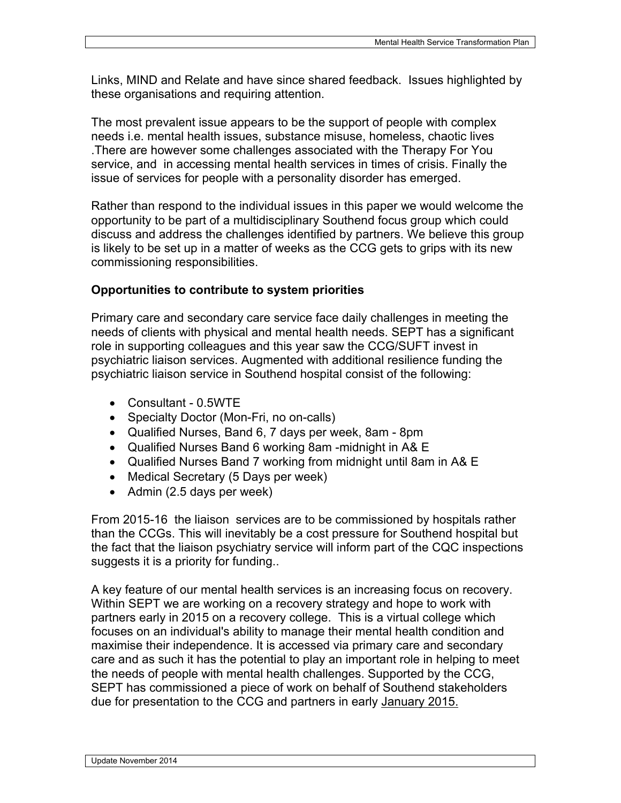Links, MIND and Relate and have since shared feedback. Issues highlighted by these organisations and requiring attention.

The most prevalent issue appears to be the support of people with complex needs i.e. mental health issues, substance misuse, homeless, chaotic lives .There are however some challenges associated with the Therapy For You service, and in accessing mental health services in times of crisis. Finally the issue of services for people with a personality disorder has emerged.

Rather than respond to the individual issues in this paper we would welcome the opportunity to be part of a multidisciplinary Southend focus group which could discuss and address the challenges identified by partners. We believe this group is likely to be set up in a matter of weeks as the CCG gets to grips with its new commissioning responsibilities.

#### **Opportunities to contribute to system priorities**

Primary care and secondary care service face daily challenges in meeting the needs of clients with physical and mental health needs. SEPT has a significant role in supporting colleagues and this year saw the CCG/SUFT invest in psychiatric liaison services. Augmented with additional resilience funding the psychiatric liaison service in Southend hospital consist of the following:

- Consultant 0.5WTE
- Specialty Doctor (Mon-Fri, no on-calls)
- Qualified Nurses, Band 6, 7 days per week, 8am 8pm
- Qualified Nurses Band 6 working 8am -midnight in A& E
- Qualified Nurses Band 7 working from midnight until 8am in A& E
- Medical Secretary (5 Days per week)
- $\bullet$  Admin (2.5 days per week)

From 2015-16 the liaison services are to be commissioned by hospitals rather than the CCGs. This will inevitably be a cost pressure for Southend hospital but the fact that the liaison psychiatry service will inform part of the CQC inspections suggests it is a priority for funding..

A key feature of our mental health services is an increasing focus on recovery. Within SEPT we are working on a recovery strategy and hope to work with partners early in 2015 on a recovery college. This is a virtual college which focuses on an individual's ability to manage their mental health condition and maximise their independence. It is accessed via primary care and secondary care and as such it has the potential to play an important role in helping to meet the needs of people with mental health challenges. Supported by the CCG, SEPT has commissioned a piece of work on behalf of Southend stakeholders due for presentation to the CCG and partners in early [January](x-apple-data-detectors://1/) 2015.